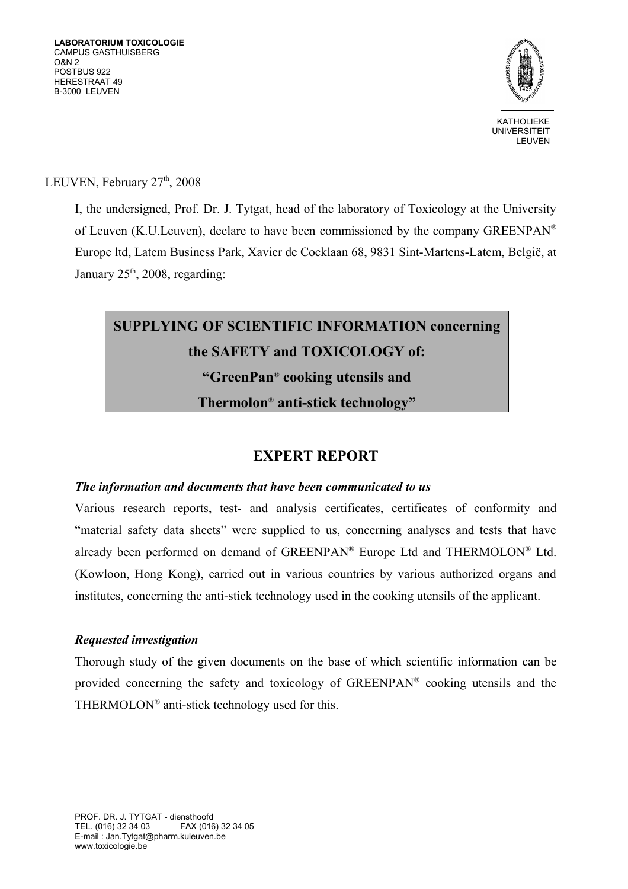

LEUVEN, February  $27<sup>th</sup>$ ,  $2008$ 

I, the undersigned, Prof. Dr. J. Tytgat, head of the laboratory of Toxicology at the University of Leuven (K.U.Leuven), declare to have been commissioned by the company GREENPAN® Europe ltd, Latem Business Park, Xavier de Cocklaan 68, 9831 Sint-Martens-Latem, België, at January  $25<sup>th</sup>$ ,  $2008$ , regarding:

# **SUPPLYING OF SCIENTIFIC INFORMATION concerning the SAFETY and TOXICOLOGY of: "GreenPan**®  **cooking utensils and Thermolon**®  **anti-stick technology"**

## **EXPERT REPORT**

#### *The information and documents that have been communicated to us*

Various research reports, test- and analysis certificates, certificates of conformity and "material safety data sheets" were supplied to us, concerning analyses and tests that have already been performed on demand of GREENPAN® Europe Ltd and THERMOLON® Ltd. (Kowloon, Hong Kong), carried out in various countries by various authorized organs and institutes, concerning the anti-stick technology used in the cooking utensils of the applicant.

#### *Requested investigation*

Thorough study of the given documents on the base of which scientific information can be provided concerning the safety and toxicology of GREENPAN® cooking utensils and the THERMOLON® anti-stick technology used for this.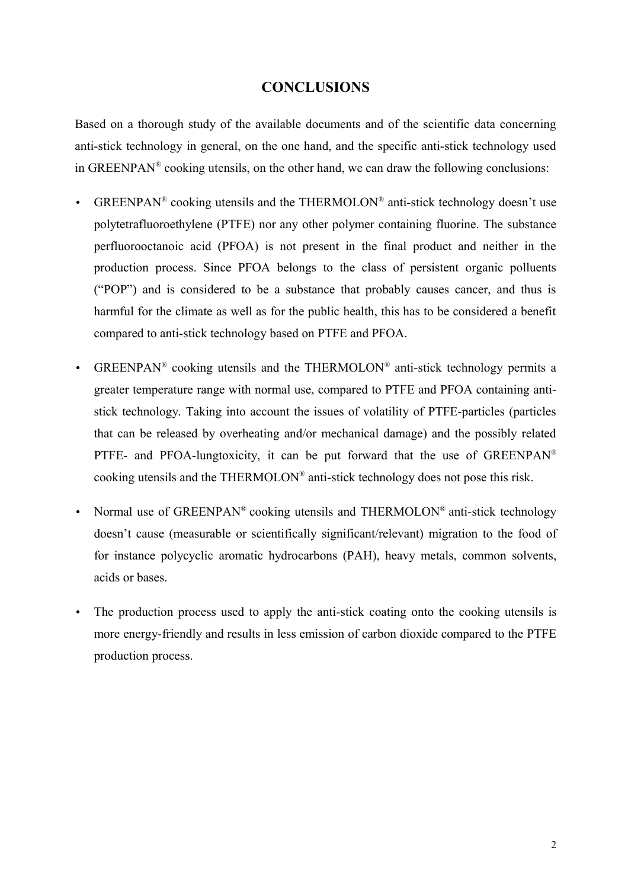### **CONCLUSIONS**

Based on a thorough study of the available documents and of the scientific data concerning anti-stick technology in general, on the one hand, and the specific anti-stick technology used in GREENPAN® cooking utensils, on the other hand, we can draw the following conclusions:

- GREENPAN<sup>®</sup> cooking utensils and the THERMOLON<sup>®</sup> anti-stick technology doesn't use polytetrafluoroethylene (PTFE) nor any other polymer containing fluorine. The substance perfluorooctanoic acid (PFOA) is not present in the final product and neither in the production process. Since PFOA belongs to the class of persistent organic polluents ("POP") and is considered to be a substance that probably causes cancer, and thus is harmful for the climate as well as for the public health, this has to be considered a benefit compared to anti-stick technology based on PTFE and PFOA.
- GREENPAN® cooking utensils and the THERMOLON® anti-stick technology permits a greater temperature range with normal use, compared to PTFE and PFOA containing antistick technology. Taking into account the issues of volatility of PTFE-particles (particles that can be released by overheating and/or mechanical damage) and the possibly related PTFE- and PFOA-lungtoxicity, it can be put forward that the use of GREENPAN<sup>®</sup> cooking utensils and the THERMOLON® anti-stick technology does not pose this risk.
- Normal use of GREENPAN® cooking utensils and THERMOLON® anti-stick technology doesn't cause (measurable or scientifically significant/relevant) migration to the food of for instance polycyclic aromatic hydrocarbons (PAH), heavy metals, common solvents, acids or bases.
- The production process used to apply the anti-stick coating onto the cooking utensils is more energy-friendly and results in less emission of carbon dioxide compared to the PTFE production process.